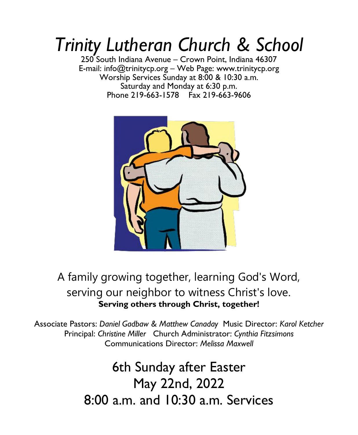# *Trinity Lutheran Church & School*

250 South Indiana Avenue – Crown Point, Indiana 46307 E-mail: info@trinitycp.org – Web Page: www.trinitycp.org Worship Services Sunday at 8:00 & 10:30 a.m. Saturday and Monday at 6:30 p.m. Phone 219-663-1578 Fax 219-663-9606



## A family growing together, learning God's Word, serving our neighbor to witness Christ's love. **Serving others through Christ, together!**

Associate Pastors: *Daniel Gadbaw & Matthew Canaday* Music Director: *Karol Ketcher*  Principal: *Christine Miller* Church Administrator: *Cynthia Fitzsimons* Communications Director: *Melissa Maxwell* 

> 6th Sunday after Easter May 22nd, 2022 8:00 a.m. and 10:30 a.m. Services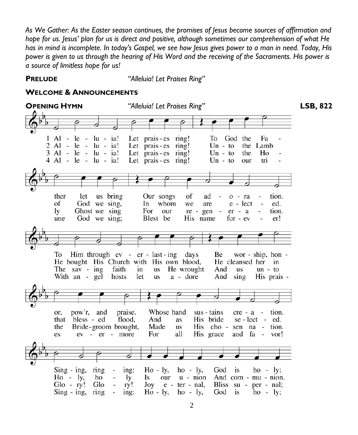*As We Gather: As the Easter season continues, the promises of Jesus become sources of affirmation and hope for us. Jesus' plan for us is direct and positive, although sometimes our comprehension of what He has in mind is incomplete. In today's Gospel, we see how Jesus gives power to a man in need. Today, His power is given to us through the hearing of His Word and the receiving of the Sacraments. His power is a source of limitless hope for us!*

**PRELUDE** *"Alleluia! Let Praises Ring"*

#### **WELCOME & ANNOUNCEMENTS**

**OPENING HYMN** *"Alleluia! Let Praises Ring"* **LSB, 822** $1$  Al - le - lu - ia! Let prais-es ring! To God the Fa  $2 \text{ Al} - \text{ le } - \text{ lu} - \text{ ia}!$ Let prais-es ring!  $Un - to$ the Lamb 3 Al - le - lu - ia! Let prais - es ring!  $Un - to$ the Ho  $4$  Al - le - lu - ia! Let prais-es ring!  $Un - to$ tri our ther let us bring Our songs of ad  $o - ra$ tion. of God we sing, whom e - lect ed. In we are  $re - gen$ ly Ghost we sing For our  $er - a$ tion. une God we sing; Blest be His name for  $-ev$ er! To Him through  $ev - er - last - ing$  days Be wor - ship, hon -He bought His Church with His own blood, He cleansed her in The sav - ing faith in us He wrought And **us**  $un - to$ With an - gel a - dore hosts let us And sing His prais pow'r, and praise, Whose hand sus - tains tion. or.  $cre - a$ bless - ed His bride that flood, And as  $se - lect - ed.$ the Bride-groom brought, Made **us** His cho sen na - tion. es ev - er - more For all His grace and fa vor! F.  $Sing - ing$ , ring  $Ho - ly,$ ing:  $ho - ly$ , God is  $ho - ly;$  $Ho - ly,$ ho ly Is our  $u - ni$ And com - mu - nion.  $Glo - ry!$ Glo ry!  $\text{Joy }$  e - ter - nal, Bliss  $su - per - nal$ ;  $Ho - ly,$  $Sing - ing$ , ring ing:  $ho - ly$ , God is  $ho - ly;$  $\overline{\phantom{a}}$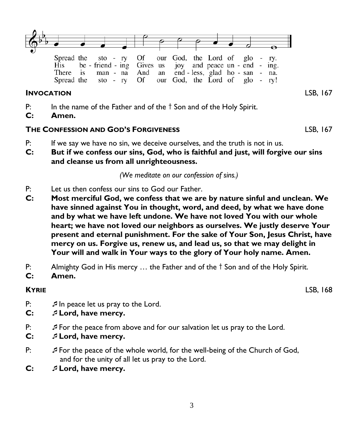

#### **INVOCATION** LSB, 167

Spread the

P: In the name of the Father and of the  $\dagger$  Son and of the Holy Spirit.

Of

**C: Amen.**

#### **THE CONFESSION AND GOD'S FORGIVENESS** LSB, 167

 $sto - ry$ 

- P: If we say we have no sin, we deceive ourselves, and the truth is not in us.
- **C: But if we confess our sins, God, who is faithful and just, will forgive our sins and cleanse us from all unrighteousness.**

*(We meditate on our confession of sins.)*

our God, the Lord of

glo  $\overline{\phantom{a}}$ ry!

- P: Let us then confess our sins to God our Father.
- **C: Most merciful God, we confess that we are by nature sinful and unclean. We have sinned against You in thought, word, and deed, by what we have done and by what we have left undone. We have not loved You with our whole heart; we have not loved our neighbors as ourselves. We justly deserve Your present and eternal punishment. For the sake of Your Son, Jesus Christ, have mercy on us. Forgive us, renew us, and lead us, so that we may delight in Your will and walk in Your ways to the glory of Your holy name. Amen.**
- P: Almighty God in His mercy  $\ldots$  the Father and of the  $\dagger$  Son and of the Holy Spirit.
- **C: Amen.**

**KYRIE** LSB, 168

- P:  $\mathcal{I}$  In peace let us pray to the Lord.
- **C: Lord, have mercy.**
- P: For the peace from above and for our salvation let us pray to the Lord.
- **C: Lord, have mercy.**
- P: For the peace of the whole world, for the well-being of the Church of God, and for the unity of all let us pray to the Lord.
- **C: Lord, have mercy.**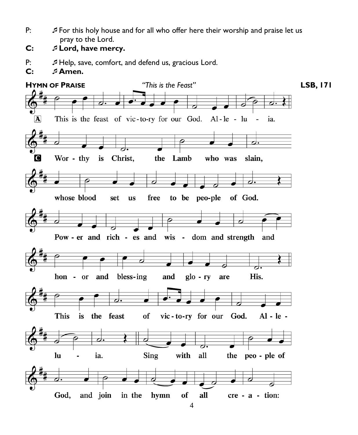- P: For this holy house and for all who offer here their worship and praise let us pray to the Lord.
- **C: Lord, have mercy.**
- P:  $\mathcal{I}$  Help, save, comfort, and defend us, gracious Lord.
- **C: Amen.**

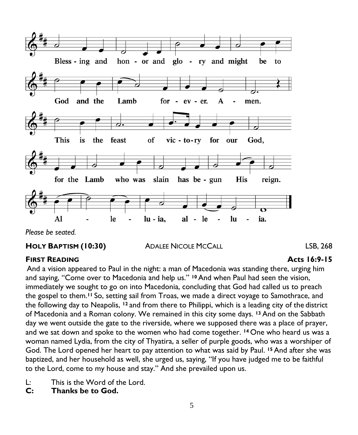

### **HOLY BAPTISM (10:30)** ADALEE NICOLE MCCALL LSB, 268

#### **FIRST READING Acts 16:9-15**

And a vision appeared to Paul in the night: a man of Macedonia was standing there, urging him and saying, "Come over to Macedonia and help us." **<sup>10</sup>**And when Paul had seen the vision, immediately we sought to go on into Macedonia, concluding that God had called us to preach the gospel to them. **<sup>11</sup>** So, setting sail from Troas, we made a direct voyage to Samothrace, and the following day to Neapolis, **<sup>12</sup>** and from there to Philippi, which is a leading city of the district of Macedonia and a Roman colony. We remained in this city some days. **<sup>13</sup>** And on the Sabbath day we went outside the gate to the riverside, where we supposed there was a place of prayer, and we sat down and spoke to the women who had come together. **<sup>14</sup>** One who heard us was a woman named Lydia, from the city of Thyatira, a seller of purple goods, who was a worshiper of God. The Lord opened her heart to pay attention to what was said by Paul. **<sup>15</sup>** And after she was baptized, and her household as well, she urged us, saying, "If you have judged me to be faithful to the Lord, come to my house and stay." And she prevailed upon us.

- L: This is the Word of the Lord.
- **C: Thanks be to God.**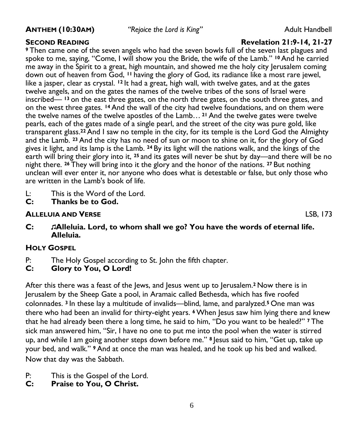**ANTHEM (10:30AM)** *"Rejoice the Lord is King"* Adult Handbell

#### **SECOND READING Revelation 21:9-14, 21-27**

**<sup>9</sup>** Then came one of the seven angels who had the seven bowls full of the seven last plagues and spoke to me, saying, "Come, I will show you the Bride, the wife of the Lamb." **<sup>10</sup>**And he carried me away in the Spirit to a great, high mountain, and showed me the holy city Jerusalem coming down out of heaven from God, **<sup>11</sup>** having the glory of God, its radiance like a most rare jewel, like a jasper, clear as crystal. **<sup>12</sup>** It had a great, high wall, with twelve gates, and at the gates twelve angels, and on the gates the names of the twelve tribes of the sons of Israel were inscribed— **<sup>13</sup>** on the east three gates, on the north three gates, on the south three gates, and on the west three gates. **<sup>14</sup>** And the wall of the city had twelve foundations, and on them were the twelve names of the twelve apostles of the Lamb… **<sup>21</sup>** And the twelve gates were twelve pearls, each of the gates made of a single pearl, and the street of the city was pure gold, like transparent glass.**<sup>22</sup>** And I saw no temple in the city, for its temple is the Lord God the Almighty and the Lamb. **<sup>23</sup>** And the city has no need of sun or moon to shine on it, for the glory of God gives it light, and its lamp is the Lamb. **<sup>24</sup>** By its light will the nations walk, and the kings of the earth will bring their glory into it, **<sup>25</sup>** and its gates will never be shut by day—and there will be no night there. **<sup>26</sup>** They will bring into it the glory and the honor of the nations. **<sup>27</sup>** But nothing unclean will ever enter it, nor anyone who does what is detestable or false, but only those who are written in the Lamb's book of life.

- L: This is the Word of the Lord.
- **C: Thanks be to God.**

#### **ALLELUIA AND VERSE** LSB, 173

**C: Alleluia. Lord, to whom shall we go? You have the words of eternal life. Alleluia.** 

#### **HOLY GOSPEL**

- P: The Holy Gospel according to St. John the fifth chapter.<br>C: Glory to You. O Lord!
- **C: Glory to You, O Lord!**

After this there was a feast of the Jews, and Jesus went up to Jerusalem.<sup>2</sup> Now there is in Jerusalem by the Sheep Gate a pool, in Aramaic called Bethesda, which has five roofed colonnades. **<sup>3</sup>** In these lay a multitude of invalids—blind, lame, and paralyzed. **<sup>5</sup>** One man was there who had been an invalid for thirty-eight years. <sup>6</sup> When Jesus saw him lying there and knew that he had already been there a long time, he said to him, "Do you want to be healed?" **<sup>7</sup>** The sick man answered him, "Sir, I have no one to put me into the pool when the water is stirred up, and while I am going another steps down before me." **<sup>8</sup>** Jesus said to him, "Get up, take up your bed, and walk." **<sup>9</sup>** And at once the man was healed, and he took up his bed and walked. Now that day was the Sabbath.

- P: This is the Gospel of the Lord.
- **C: Praise to You, O Christ.**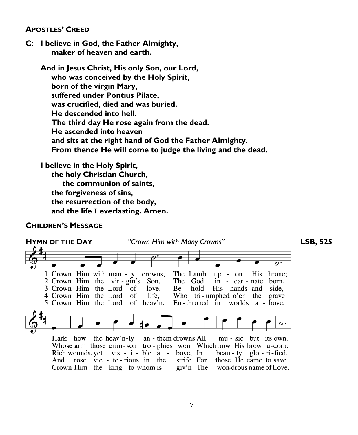#### **APOSTLES' CREED**

**C**: **I believe in God, the Father Almighty, maker of heaven and earth.**

**And in Jesus Christ, His only Son, our Lord, who was conceived by the Holy Spirit, born of the virgin Mary, suffered under Pontius Pilate, was crucified, died and was buried. He descended into hell. The third day He rose again from the dead. He ascended into heaven and sits at the right hand of God the Father Almighty. From thence He will come to judge the living and the dead.**

**I believe in the Holy Spirit, the holy Christian Church, the communion of saints, the forgiveness of sins, the resurrection of the body, and the life** T **everlasting. Amen.**

#### **CHILDREN'S MESSAGE**

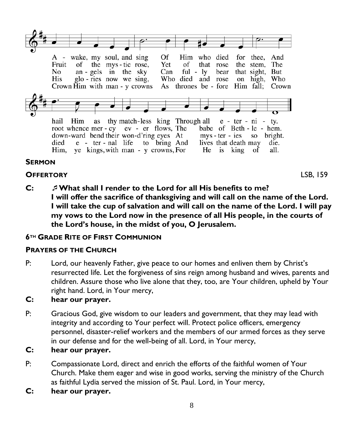

#### **SERMON**

#### **OFFERTORY** LSB, 159

**C: What shall I render to the Lord for all His benefits to me? I will offer the sacrifice of thanksgiving and will call on the name of the Lord. I will take the cup of salvation and will call on the name of the Lord. I will pay my vows to the Lord now in the presence of all His people, in the courts of the Lord's house, in the midst of you, O Jerusalem.**

### **6TH GRADE RITE OF FIRST COMMUNION**

#### **PRAYERS OF THE CHURCH**

P: Lord, our heavenly Father, give peace to our homes and enliven them by Christ's resurrected life. Let the forgiveness of sins reign among husband and wives, parents and children. Assure those who live alone that they, too, are Your children, upheld by Your right hand. Lord, in Your mercy,

### **C: hear our prayer.**

P: Gracious God, give wisdom to our leaders and government, that they may lead with integrity and according to Your perfect will. Protect police officers, emergency personnel, disaster-relief workers and the members of our armed forces as they serve in our defense and for the well-being of all. Lord, in Your mercy,

#### **C: hear our prayer.**

- P: Compassionate Lord, direct and enrich the efforts of the faithful women of Your Church. Make them eager and wise in good works, serving the ministry of the Church as faithful Lydia served the mission of St. Paul. Lord, in Your mercy,
- **C: hear our prayer.**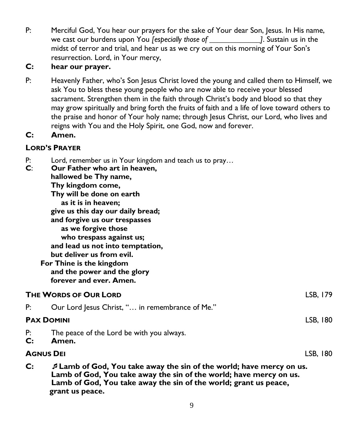P: Merciful God, You hear our prayers for the sake of Your dear Son, Jesus. In His name, we cast our burdens upon You *[especially those of \_\_\_\_\_\_\_\_\_\_\_\_\_]*. Sustain us in the midst of terror and trial, and hear us as we cry out on this morning of Your Son's resurrection. Lord, in Your mercy,

#### **C: hear our prayer.**

P: Heavenly Father, who's Son Jesus Christ loved the young and called them to Himself, we ask You to bless these young people who are now able to receive your blessed sacrament. Strengthen them in the faith through Christ's body and blood so that they may grow spiritually and bring forth the fruits of faith and a life of love toward others to the praise and honor of Your holy name; through Jesus Christ, our Lord, who lives and reigns with You and the Holy Spirit, one God, now and forever.

### **C: Amen.**

#### **LORD'S PRAYER**

| P: | Lord, remember us in Your kingdom and teach us to pray |  |  |
|----|--------------------------------------------------------|--|--|
|----|--------------------------------------------------------|--|--|

| C:                    | Our Father who art in heaven,<br>hallowed be Thy name,                                                                                     |          |
|-----------------------|--------------------------------------------------------------------------------------------------------------------------------------------|----------|
|                       | Thy kingdom come,                                                                                                                          |          |
|                       | Thy will be done on earth                                                                                                                  |          |
|                       | as it is in heaven;                                                                                                                        |          |
|                       | give us this day our daily bread;                                                                                                          |          |
|                       | and forgive us our trespasses                                                                                                              |          |
|                       | as we forgive those                                                                                                                        |          |
|                       | who trespass against us;                                                                                                                   |          |
|                       | and lead us not into temptation,                                                                                                           |          |
|                       | but deliver us from evil.                                                                                                                  |          |
|                       | For Thine is the kingdom                                                                                                                   |          |
|                       | and the power and the glory                                                                                                                |          |
|                       | forever and ever. Amen.                                                                                                                    |          |
| THE WORDS OF OUR LORD |                                                                                                                                            | LSB, 179 |
| P:                    | Our Lord Jesus Christ, " in remembrance of Me."                                                                                            |          |
| <b>PAX DOMINI</b>     |                                                                                                                                            | LSB, 180 |
| P:                    | The peace of the Lord be with you always.                                                                                                  |          |
| C:                    | Amen.                                                                                                                                      |          |
|                       | Agnus Dei                                                                                                                                  | LSB, 180 |
| C:                    | J Lamb of God, You take away the sin of the world; have mercy on us.<br>Lamb of God. You take away the sin of the world: have mercy on us. |          |

**Lamb of God, You take away the sin of the world; have mercy on us. Lamb of God, You take away the sin of the world; grant us peace, grant us peace.**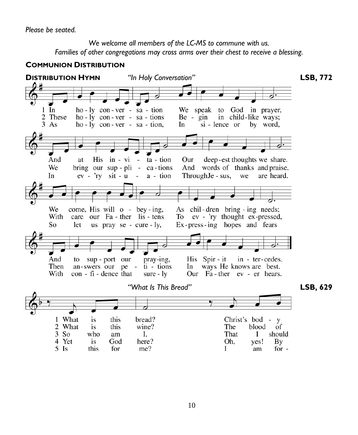*We welcome all members of the LC-MS to commune with us. Families of other congregations may cross arms over their chest to receive a blessing.*

#### **COMMUNION DISTRIBUTION**

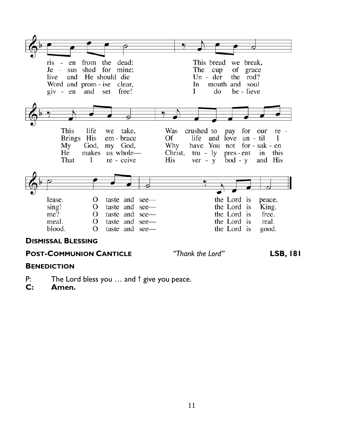

#### **DISMISSAL BLESSING**

#### **POST-COMMUNION CANTICLE**

"Thank the Lord"

**LSB, 181** 

#### **BENEDICTION**

- P: The Lord bless you  $\ldots$  and  $\dagger$  give you peace.
- $C:$ Amen.